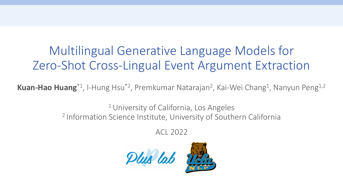# Multilingual Generative Language Models for Zero-Shot Cross-Lingual Event Argument Extraction

Kuan-Hao Huang<sup>\*1</sup>, I-Hung Hsu<sup>\*2</sup>, Premkumar Natarajan<sup>2</sup>, Kai-Wei Chang<sup>1</sup>, Nanyun Peng<sup>1,2</sup>

<sup>1</sup> University of California, Los Angeles 2 Information Science Institute, University of Southern California

ACL 2022

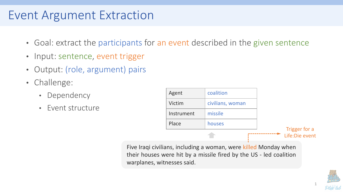# Event Argument Extraction

- Goal: extract the participants for an event described in the given sentence
- Input: sentence, event trigger
- Output: (role, argument) pairs
- Challenge:
	- Dependency
	- Event structure

| Agent      | coalition        |                                  |
|------------|------------------|----------------------------------|
| Victim     | civilians, woman |                                  |
| Instrument | missile          |                                  |
| Place      | houses           |                                  |
|            |                  | Trigger for a<br>Life: Die event |

Five Iraqi civilians, including a woman, were killed Monday when their houses were hit by a missile fired by the US - led coalition warplanes, witnesses said.

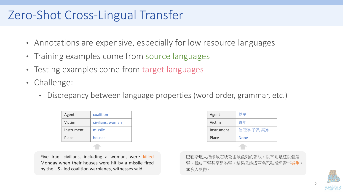### Zero-Shot Cross-Lingual Transfer

- Annotations are expensive, especially for low resource languages
- Training examples come from source languages
- Testing examples come from target languages
- Challenge:
	- Discrepancy between language properties (word order, grammar, etc.)

| Agent      | coalition        |  |
|------------|------------------|--|
| Victim     | civilians, woman |  |
| Instrument | missile          |  |
| Place      | houses           |  |
|            |                  |  |

Five Iraqi civilians, including a woman, were killed Monday when their houses were hit by a missile fired by the US - led coalition warplanes, witnesses said.

| Agent        | 以军          |  |
|--------------|-------------|--|
| Victim       | 青年          |  |
| Instrument   | 催泪弹,子弹,实弹   |  |
| Place        | <b>None</b> |  |
| <b>START</b> |             |  |

巴勒斯坦人持续以石块攻击以色列的部队,以军则是还以催泪 弹、橡皮子弹甚至是实弹,结果又造成两名巴勒斯坦青年丧生, 10多人受伤。

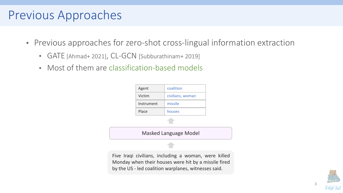#### Previous Approaches

- Previous approaches for zero-shot cross-lingual information extraction
	- GATE [Ahmad+ 2021], CL-GCN [Subburathinam+ 2019]
	- Most of them are classification-based models



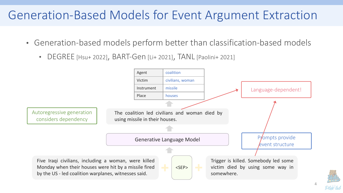## Generation-Based Models for Event Argument Extraction

- Generation-based models perform better than classification-based models
	- DEGREE [Hsu+ 2022], BART-Gen [Li+ 2021], TANL [Paolini+ 2021]

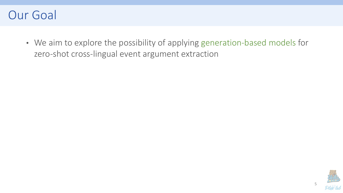

• We aim to explore the possibility of applying generation-based models for zero-shot cross-lingual event argument extraction

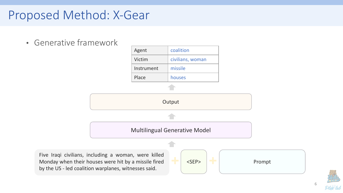### Proposed Method: X-Gear

• Generative framework



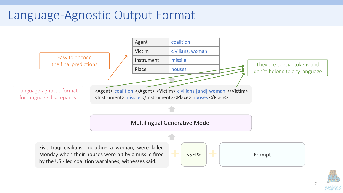## Language-Agnostic Output Format



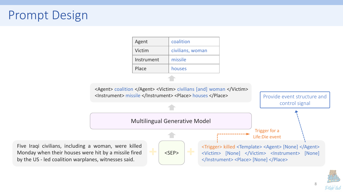# Prompt Design



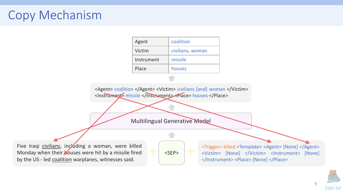# Copy Mechanism

| Agent      | coalition        |
|------------|------------------|
| Victim     | civilians, woman |
| Instrument | missile          |
| Place      | houses           |

<Agent> coalition </Agent> <Victim> civilians [and] woman </Victim> <Instrument> missile </Instrument> <Place> houses </Place>

Multilingual Generative Model

Five Iraqi civilians, including a woman, were killed Monday when their **Mouses were hit by a missile fired** by the US - led coalition warplanes, witnesses said.

 $<$ SEP $>$ 

<Trigger> killed <Template> <Agent> [None] </Agent> <Victim> [None] </Victim> <Instrument> [None] </Instrument> <Place> [None] </Place>

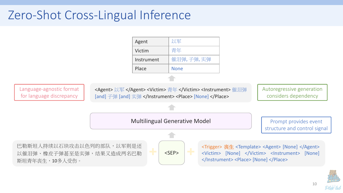# Zero-Shot Cross-Lingual Inference



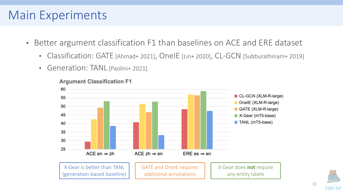### Main Experiments

- Better argument classification F1 than baselines on ACE and ERE dataset
	- Classification: GATE [Ahmad+ 2021], OnelE [Lin+ 2020], CL-GCN [Subburathinam+ 2019]
	- Generation: TANL [Paolini+ 2021]



**Argument Classification F1** 

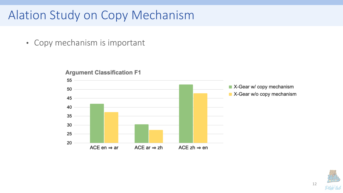# Alation Study on Copy Mechanism

• Copy mechanism is important



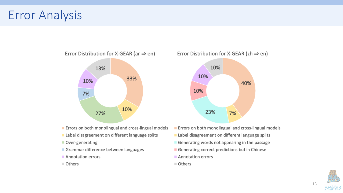### Error Analysis



- Errors on both monolingual and cross-lingual models
- Label disagreement on different language splits
- Over-generating
- Grammar difference between languages
- Annotation errors
- Others

Error Distribution for X-GEAR (zh  $\Rightarrow$  en)



- Errors on both monolingual and cross-lingual models
- Label disagreement on different language splits
- Generating words not appearing in the passage
- Generating correct predictions but in Chinese
- Annotation errors
- Others